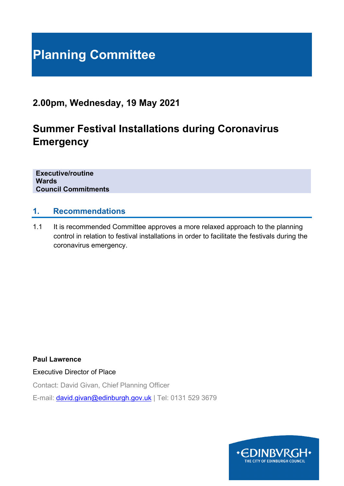# **Planning Committee**

# **2.00pm, Wednesday, 19 May 2021**

# **Summer Festival Installations during Coronavirus Emergency**

**Executive/routine Wards Council Commitments**

## **1. Recommendations**

1.1 It is recommended Committee approves a more relaxed approach to the planning control in relation to festival installations in order to facilitate the festivals during the coronavirus emergency.

**Paul Lawrence** 

Executive Director of Place

Contact: David Givan, Chief Planning Officer

E-mail: [david.givan@edinburgh.gov.uk](mailto:david.givan@edinburgh.gov.uk) | Tel: 0131 529 3679

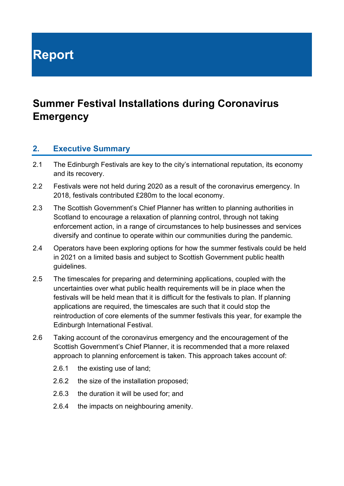**Report**

# **Summer Festival Installations during Coronavirus Emergency**

#### **2. Executive Summary**

- 2.1 The Edinburgh Festivals are key to the city's international reputation, its economy and its recovery.
- 2.2 Festivals were not held during 2020 as a result of the coronavirus emergency. In 2018, festivals contributed £280m to the local economy.
- 2.3 The Scottish Government's Chief Planner has written to planning authorities in Scotland to encourage a relaxation of planning control, through not taking enforcement action, in a range of circumstances to help businesses and services diversify and continue to operate within our communities during the pandemic.
- 2.4 Operators have been exploring options for how the summer festivals could be held in 2021 on a limited basis and subject to Scottish Government public health guidelines.
- 2.5 The timescales for preparing and determining applications, coupled with the uncertainties over what public health requirements will be in place when the festivals will be held mean that it is difficult for the festivals to plan. If planning applications are required, the timescales are such that it could stop the reintroduction of core elements of the summer festivals this year, for example the Edinburgh International Festival.
- 2.6 Taking account of the coronavirus emergency and the encouragement of the Scottish Government's Chief Planner, it is recommended that a more relaxed approach to planning enforcement is taken. This approach takes account of:
	- 2.6.1 the existing use of land;
	- 2.6.2 the size of the installation proposed;
	- 2.6.3 the duration it will be used for; and
	- 2.6.4 the impacts on neighbouring amenity.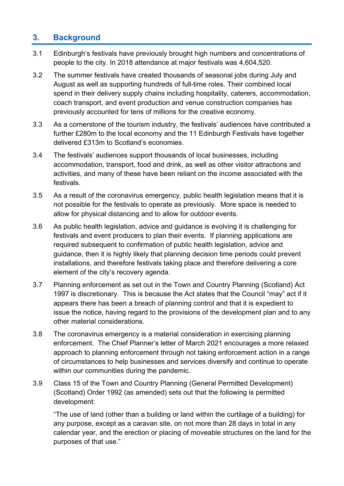# **3. Background**

- 3.1 Edinburgh's festivals have previously brought high numbers and concentrations of people to the city. In 2018 attendance at major festivals was 4,604,520.
- 3.2 The summer festivals have created thousands of seasonal jobs during July and August as well as supporting hundreds of full-time roles. Their combined local spend in their delivery supply chains including hospitality, caterers, accommodation, coach transport, and event production and venue construction companies has previously accounted for tens of millions for the creative economy.
- 3.3 As a cornerstone of the tourism industry, the festivals' audiences have contributed a further £280m to the local economy and the 11 Edinburgh Festivals have together delivered £313m to Scotland's economies.
- 3.4 The festivals' audiences support thousands of local businesses, including accommodation, transport, food and drink, as well as other visitor attractions and activities, and many of these have been reliant on the income associated with the festivals.
- 3.5 As a result of the coronavirus emergency, public health legislation means that it is not possible for the festivals to operate as previously. More space is needed to allow for physical distancing and to allow for outdoor events.
- 3.6 As public health legislation, advice and guidance is evolving it is challenging for festivals and event producers to plan their events. If planning applications are required subsequent to confirmation of public health legislation, advice and guidance, then it is highly likely that planning decision time periods could prevent installations, and therefore festivals taking place and therefore delivering a core element of the city's recovery agenda.
- 3.7 Planning enforcement as set out in the Town and Country Planning (Scotland) Act 1997 is discretionary. This is because the Act states that the Council "may" act if it appears there has been a breach of planning control and that it is expedient to issue the notice, having regard to the provisions of the development plan and to any other material considerations.
- 3.8 The coronavirus emergency is a material consideration in exercising planning enforcement. The Chief Planner's letter of March 2021 encourages a more relaxed approach to planning enforcement through not taking enforcement action in a range of circumstances to help businesses and services diversify and continue to operate within our communities during the pandemic.
- 3.9 Class 15 of the Town and Country Planning (General Permitted Development) (Scotland) Order 1992 (as amended) sets out that the following is permitted development:

"The use of land (other than a building or land within the curtilage of a building) for any purpose, except as a caravan site, on not more than 28 days in total in any calendar year, and the erection or placing of moveable structures on the land for the purposes of that use."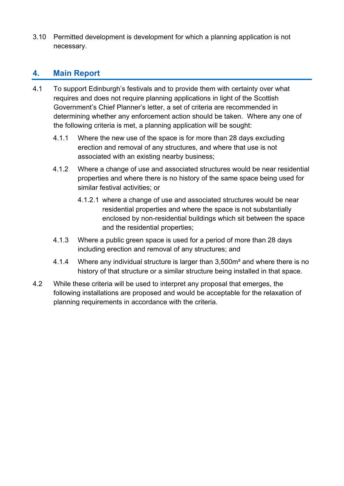3.10 Permitted development is development for which a planning application is not necessary.

# **4. Main Report**

- 4.1 To support Edinburgh's festivals and to provide them with certainty over what requires and does not require planning applications in light of the Scottish Government's Chief Planner's letter, a set of criteria are recommended in determining whether any enforcement action should be taken. Where any one of the following criteria is met, a planning application will be sought:
	- 4.1.1 Where the new use of the space is for more than 28 days excluding erection and removal of any structures, and where that use is not associated with an existing nearby business;
	- 4.1.2 Where a change of use and associated structures would be near residential properties and where there is no history of the same space being used for similar festival activities; or
		- 4.1.2.1 where a change of use and associated structures would be near residential properties and where the space is not substantially enclosed by non-residential buildings which sit between the space and the residential properties;
	- 4.1.3 Where a public green space is used for a period of more than 28 days including erection and removal of any structures; and
	- 4.1.4 Where any individual structure is larger than 3,500m² and where there is no history of that structure or a similar structure being installed in that space.
- 4.2 While these criteria will be used to interpret any proposal that emerges, the following installations are proposed and would be acceptable for the relaxation of planning requirements in accordance with the criteria.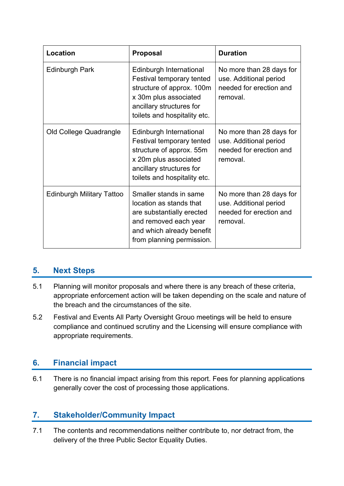| Location                         | <b>Proposal</b>                                                                                                                                                              | <b>Duration</b>                                                                           |
|----------------------------------|------------------------------------------------------------------------------------------------------------------------------------------------------------------------------|-------------------------------------------------------------------------------------------|
| Edinburgh Park                   | Edinburgh International<br>Festival temporary tented<br>structure of approx. 100m<br>x 30m plus associated<br>ancillary structures for<br>toilets and hospitality etc.       | No more than 28 days for<br>use. Additional period<br>needed for erection and<br>removal. |
| Old College Quadrangle           | Edinburgh International<br><b>Festival temporary tented</b><br>structure of approx. 55m<br>x 20m plus associated<br>ancillary structures for<br>toilets and hospitality etc. | No more than 28 days for<br>use. Additional period<br>needed for erection and<br>removal. |
| <b>Edinburgh Military Tattoo</b> | Smaller stands in same<br>location as stands that<br>are substantially erected<br>and removed each year<br>and which already benefit<br>from planning permission.            | No more than 28 days for<br>use. Additional period<br>needed for erection and<br>removal. |

# **5. Next Steps**

- 5.1 Planning will monitor proposals and where there is any breach of these criteria, appropriate enforcement action will be taken depending on the scale and nature of the breach and the circumstances of the site.
- 5.2 Festival and Events All Party Oversight Grouo meetings will be held to ensure compliance and continued scrutiny and the Licensing will ensure compliance with appropriate requirements.

## **6. Financial impact**

6.1 There is no financial impact arising from this report. Fees for planning applications generally cover the cost of processing those applications.

## **7. Stakeholder/Community Impact**

7.1 The contents and recommendations neither contribute to, nor detract from, the delivery of the three Public Sector Equality Duties.